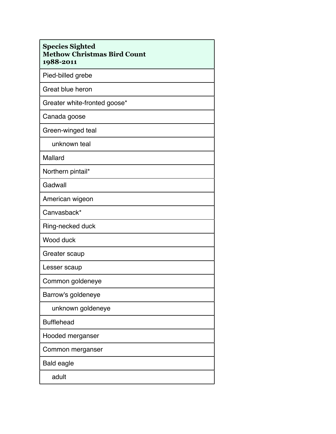| <b>Species Sighted</b><br><b>Methow Christmas Bird Count</b><br>1988-2011 |
|---------------------------------------------------------------------------|
| Pied-billed grebe                                                         |
| Great blue heron                                                          |
| Greater white-fronted goose*                                              |
| Canada goose                                                              |
| Green-winged teal                                                         |
| unknown teal                                                              |
| Mallard                                                                   |
| Northern pintail*                                                         |
| Gadwall                                                                   |
| American wigeon                                                           |
| Canvasback*                                                               |
| Ring-necked duck                                                          |
| Wood duck                                                                 |
| Greater scaup                                                             |
| Lesser scaup                                                              |
| Common goldeneye                                                          |
| Barrow's goldeneye                                                        |
| unknown goldeneye                                                         |
| <b>Bufflehead</b>                                                         |
| Hooded merganser                                                          |
| Common merganser                                                          |
| <b>Bald eagle</b>                                                         |
| adult                                                                     |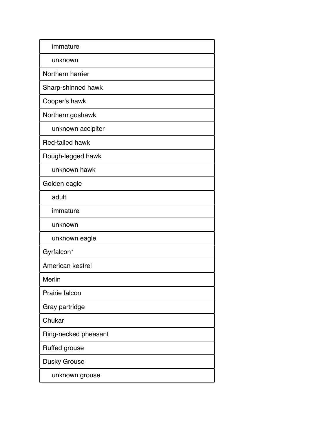| immature             |
|----------------------|
| unknown              |
| Northern harrier     |
| Sharp-shinned hawk   |
| Cooper's hawk        |
| Northern goshawk     |
| unknown accipiter    |
| Red-tailed hawk      |
| Rough-legged hawk    |
| unknown hawk         |
| Golden eagle         |
| adult                |
| immature             |
| unknown              |
| unknown eagle        |
| Gyrfalcon*           |
| American kestrel     |
| Merlin               |
| Prairie falcon       |
| Gray partridge       |
| Chukar               |
| Ring-necked pheasant |
| Ruffed grouse        |
| Dusky Grouse         |
| unknown grouse       |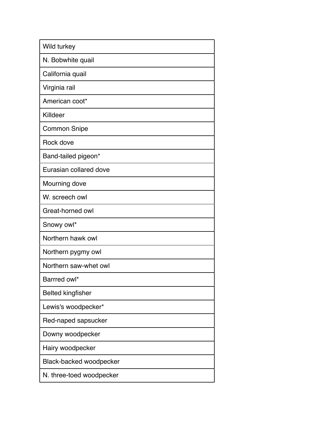| Wild turkey              |
|--------------------------|
| N. Bobwhite quail        |
| California quail         |
| Virginia rail            |
| American coot*           |
| Killdeer                 |
| <b>Common Snipe</b>      |
| Rock dove                |
| Band-tailed pigeon*      |
| Eurasian collared dove   |
| Mourning dove            |
| W. screech owl           |
| Great-horned owl         |
| Snowy owl*               |
| Northern hawk owl        |
| Northern pygmy owl       |
| Northern saw-whet owl    |
| Barrred owl*             |
| <b>Belted kingfisher</b> |
| Lewis's woodpecker*      |
| Red-naped sapsucker      |
| Downy woodpecker         |
| Hairy woodpecker         |
| Black-backed woodpecker  |
| N. three-toed woodpecker |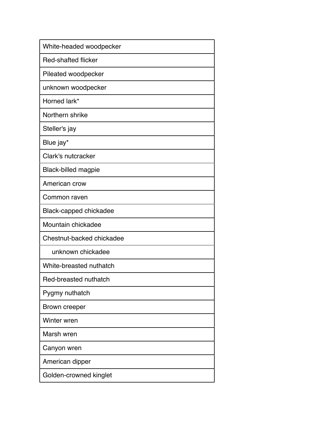| White-headed woodpecker    |
|----------------------------|
| <b>Red-shafted flicker</b> |
| Pileated woodpecker        |
| unknown woodpecker         |
| Horned lark*               |
| Northern shrike            |
| Steller's jay              |
| Blue jay*                  |
| Clark's nutcracker         |
| <b>Black-billed magpie</b> |
| American crow              |
| Common raven               |
| Black-capped chickadee     |
| Mountain chickadee         |
| Chestnut-backed chickadee  |
| unknown chickadee          |
| White-breasted nuthatch    |
| Red-breasted nuthatch      |
| Pygmy nuthatch             |
| Brown creeper              |
| Winter wren                |
| Marsh wren                 |
| Canyon wren                |
| American dipper            |
| Golden-crowned kinglet     |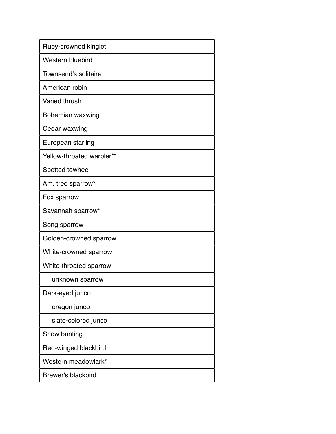| Ruby-crowned kinglet      |
|---------------------------|
| Western bluebird          |
| Townsend's solitaire      |
| American robin            |
| <b>Varied thrush</b>      |
| Bohemian waxwing          |
| Cedar waxwing             |
| European starling         |
| Yellow-throated warbler** |
| Spotted towhee            |
| Am. tree sparrow*         |
| Fox sparrow               |
| Savannah sparrow*         |
| Song sparrow              |
| Golden-crowned sparrow    |
| White-crowned sparrow     |
| White-throated sparrow    |
| unknown sparrow           |
| Dark-eyed junco           |
| oregon junco              |
| slate-colored junco       |
| Snow bunting              |
| Red-winged blackbird      |
| Western meadowlark*       |
| <b>Brewer's blackbird</b> |